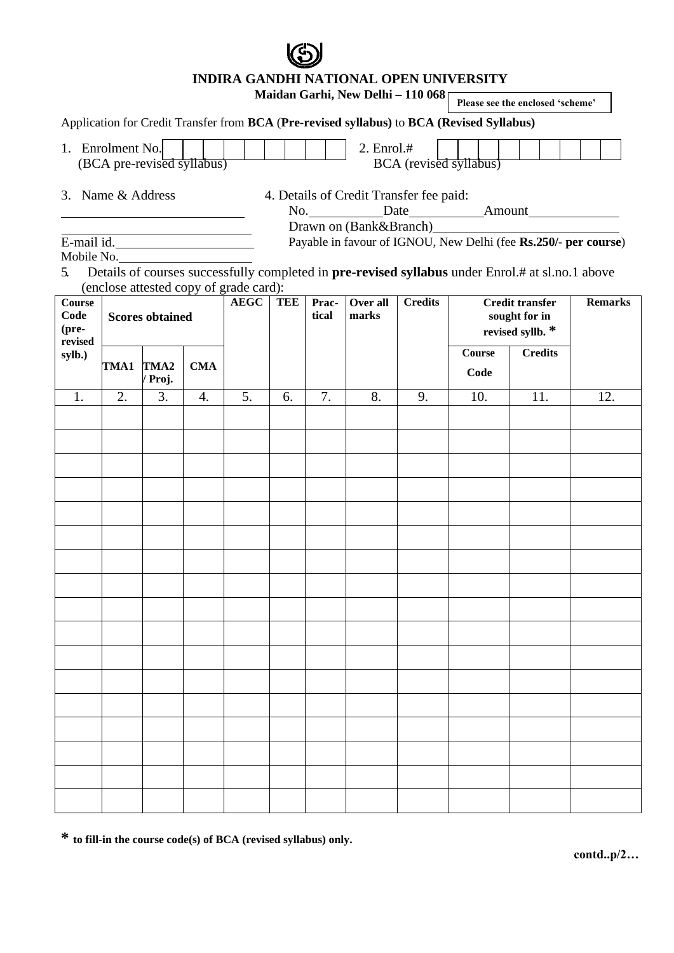**INDIRA GANDHI NATIONAL OPEN UNIVERSITY Maidan Garhi, New Delhi – 110 068** Application for Credit Transfer from **BCA** (**Pre-revised syllabus)** to **BCA (Revised Syllabus)** 1. Enrolment No. | | | | | | | | | | 2. Enrol.# (BCA pre-revised syllabus) BCA (revised syllabus) 3. Name & Address 4. Details of Credit Transfer fee paid: No. Date Amount Drawn on (Bank&Branch) E-mail id. Mobile No. Payable in favour of IGNOU, New Delhi (fee **Rs.250/- per course**) 5. Details of courses successfully completed in **pre-revised syllabus** under Enrol.# at sl.no.1 above (enclose attested copy of grade card): **Course Code (prerevised sylb.) Scores obtained AEGC TEE Practical Over all marks Credits Credit transfer sought for in revised syllb. \* Remarks TMA1 TMA2 / Proj. CMA Course Code Credits** 1. | 2. | 3. | 4. | 5. | 6. | 7. | 8. | 9. | 10. | 11. | 12. **Please see the enclosed 'scheme'**

**\* to fill-in the course code(s) of BCA (revised syllabus) only.**

**contd..p/2…**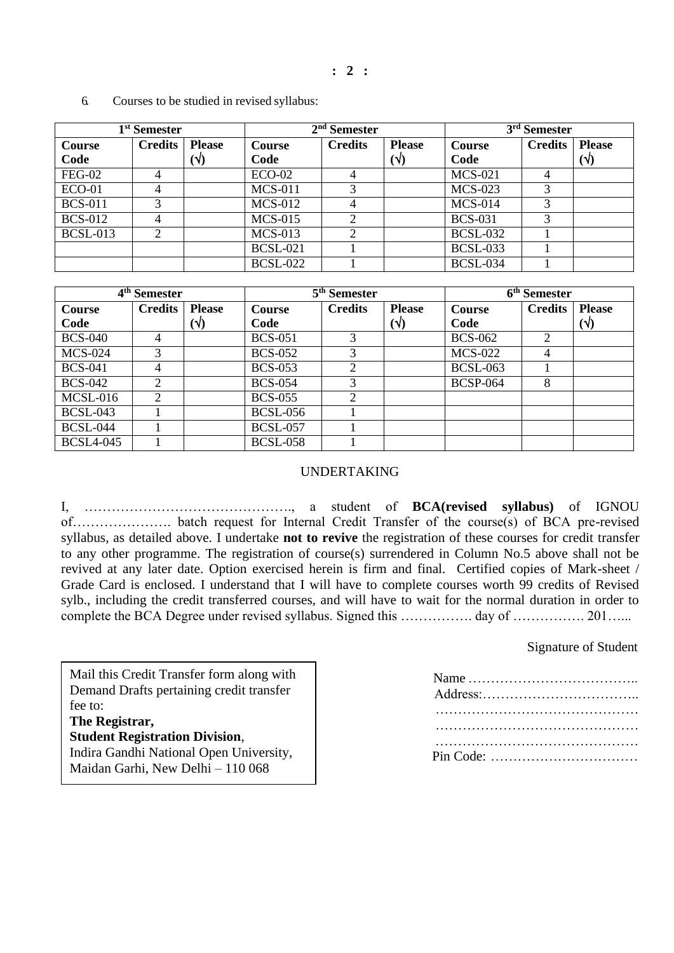**: 2 :**

| 1 <sup>st</sup> Semester |                |               | $2nd$ Semester                            |                |              | 3 <sup>rd</sup> Semester |               |              |
|--------------------------|----------------|---------------|-------------------------------------------|----------------|--------------|--------------------------|---------------|--------------|
| <b>Course</b>            | <b>Credits</b> | <b>Please</b> | <b>Credits</b><br><b>Please</b><br>Course |                | Course       | <b>Credits</b>           | <b>Please</b> |              |
| Code                     |                | $(\sqrt{2})$  | Code                                      |                | $(\sqrt{2})$ | Code                     |               | $(\sqrt{2})$ |
| <b>FEG-02</b>            |                |               | $ECO-02$                                  | 4              |              | <b>MCS-021</b>           | 4             |              |
| $ECO-01$                 | 4              |               | <b>MCS-011</b>                            | 3              |              | $MCS-023$                | 3             |              |
| <b>BCS-011</b>           | 3              |               | <b>MCS-012</b>                            | $\overline{4}$ |              | <b>MCS-014</b>           | 3             |              |
| <b>BCS-012</b>           | 4              |               | <b>MCS-015</b>                            | 2              |              | <b>BCS-031</b>           | 3             |              |
| <b>BCSL-013</b>          | $\mathcal{D}$  |               | <b>MCS-013</b>                            | $\overline{2}$ |              | <b>BCSL-032</b>          |               |              |
|                          |                |               | <b>BCSL-021</b>                           |                |              | <b>BCSL-033</b>          |               |              |
|                          |                |               | <b>BCSL-022</b>                           |                |              | <b>BCSL-034</b>          |               |              |

6. Courses to be studied in revised syllabus:

| 4 <sup>th</sup> Semester |                             |               | 5 <sup>th</sup> Semester |                |              | 6 <sup>th</sup> Semester |                |               |
|--------------------------|-----------------------------|---------------|--------------------------|----------------|--------------|--------------------------|----------------|---------------|
| Course                   | <b>Credits</b>              | <b>Please</b> | <b>Course</b>            | <b>Credits</b> |              | <b>Course</b>            | <b>Credits</b> | <b>Please</b> |
| Code                     |                             | $(\sqrt{2})$  | Code                     |                | $(\sqrt{2})$ | Code                     |                | $(\sqrt{2})$  |
| <b>BCS-040</b>           | 4                           |               | <b>BCS-051</b>           | 3              |              | <b>BCS-062</b>           | $\overline{2}$ |               |
| <b>MCS-024</b>           | 3                           |               | <b>BCS-052</b>           | 3              |              | <b>MCS-022</b>           | 4              |               |
| <b>BCS-041</b>           | 4                           |               | <b>BCS-053</b>           | $\overline{2}$ |              | <b>BCSL-063</b>          |                |               |
| <b>BCS-042</b>           | $\mathfrak{D}$              |               | <b>BCS-054</b>           | 3              |              | <b>BCSP-064</b>          | 8              |               |
| $MCSL-016$               | $\mathcal{D}_{\mathcal{A}}$ |               | <b>BCS-055</b>           | $\overline{2}$ |              |                          |                |               |
| <b>BCSL-043</b>          |                             |               | <b>BCSL-056</b>          |                |              |                          |                |               |
| <b>BCSL-044</b>          |                             |               | <b>BCSL-057</b>          |                |              |                          |                |               |
| <b>BCSL4-045</b>         |                             |               | <b>BCSL-058</b>          |                |              |                          |                |               |

### UNDERTAKING

I, ………………………………………., a student of **BCA(revised syllabus)** of IGNOU of…………………. batch request for Internal Credit Transfer of the course(s) of BCA pre-revised syllabus, as detailed above. I undertake **not to revive** the registration of these courses for credit transfer to any other programme. The registration of course(s) surrendered in Column No.5 above shall not be revived at any later date. Option exercised herein is firm and final. Certified copies of Mark-sheet / Grade Card is enclosed. I understand that I will have to complete courses worth 99 credits of Revised sylb., including the credit transferred courses, and will have to wait for the normal duration in order to complete the BCA Degree under revised syllabus. Signed this ……………. day of ……………. 201……

### Signature of Student

Mail this Credit Transfer form along with Demand Drafts pertaining credit transfer fee to:

## **The Registrar,**

**Student Registration Division**,

Indira Gandhi National Open University, Maidan Garhi, New Delhi – 110 068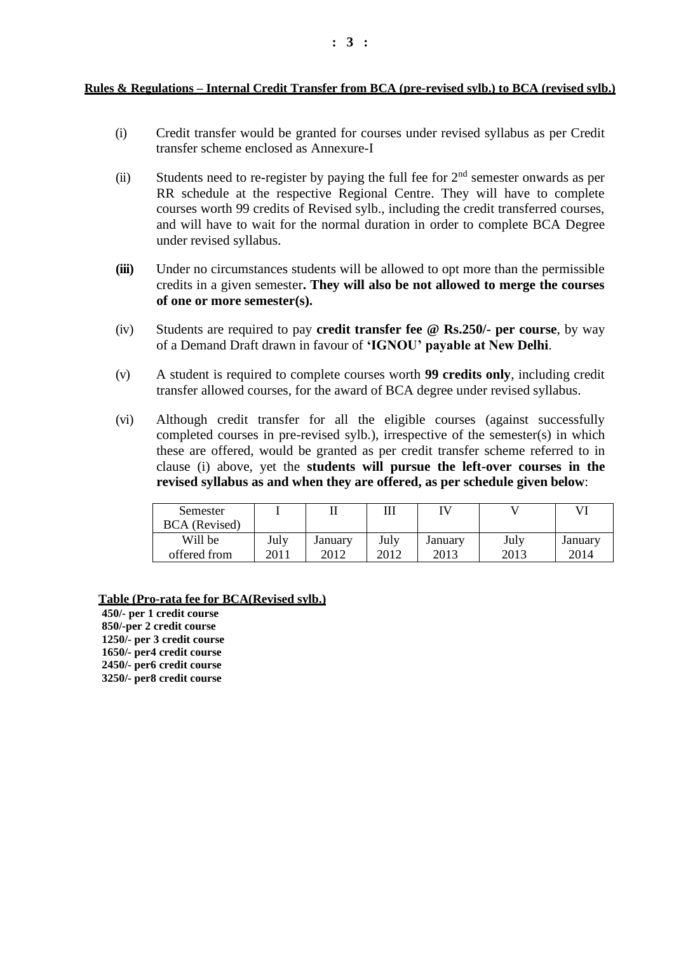**Rules & Regulations – Internal Credit Transfer from BCA (pre-revised sylb.) to BCA (revised sylb.)**

- (i) Credit transfer would be granted for courses under revised syllabus as per Credit transfer scheme enclosed as Annexure-I
- (ii) Students need to re-register by paying the full fee for  $2<sup>nd</sup>$  semester onwards as per RR schedule at the respective Regional Centre. They will have to complete courses worth 99 credits of Revised sylb., including the credit transferred courses, and will have to wait for the normal duration in order to complete BCA Degree under revised syllabus.
- **(iii)** Under no circumstances students will be allowed to opt more than the permissible credits in a given semester**. They will also be not allowed to merge the courses of one or more semester(s).**
- (iv) Students are required to pay **credit transfer fee @ Rs.250/- per course**, by way of a Demand Draft drawn in favour of **'IGNOU' payable at New Delhi**.
- (v) A student is required to complete courses worth **99 credits only**, including credit transfer allowed courses, for the award of BCA degree under revised syllabus.
- (vi) Although credit transfer for all the eligible courses (against successfully completed courses in pre-revised sylb.), irrespective of the semester(s) in which these are offered, would be granted as per credit transfer scheme referred to in clause (i) above, yet the **students will pursue the left-over courses in the revised syllabus as and when they are offered, as per schedule given below**:

| Semester<br><b>BCA</b> (Revised) |      | 11      | ш    | IV      |      | VI      |
|----------------------------------|------|---------|------|---------|------|---------|
| Will be                          | July | January | July | January | July | January |
| offered from                     | 2011 | 2012    | 2012 | 2013    | 2013 | 2014    |

#### **Table (Pro-rata fee for BCA(Revised sylb.)**

**450/- per 1 credit course 850/-per 2 credit course 1250/- per 3 credit course 1650/- per4 credit course 2450/- per6 credit course 3250/- per8 credit course**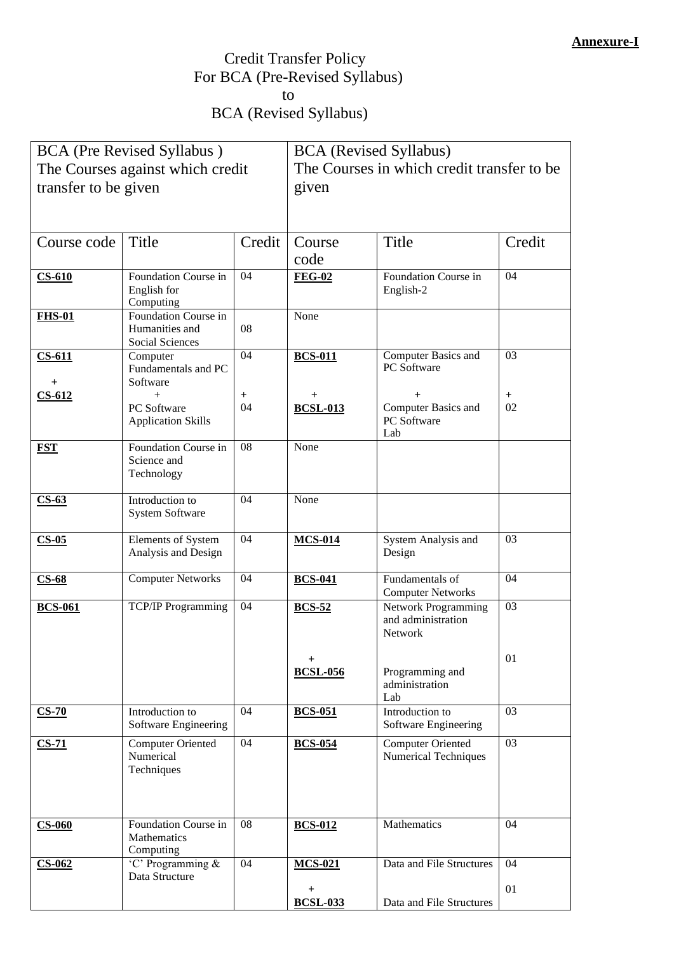# Credit Transfer Policy For BCA (Pre-Revised Syllabus) to BCA (Revised Syllabus)

|                      | <b>BCA</b> (Pre Revised Syllabus)                                |        | <b>BCA</b> (Revised Syllabus)               |                                                                    |        |  |
|----------------------|------------------------------------------------------------------|--------|---------------------------------------------|--------------------------------------------------------------------|--------|--|
|                      | The Courses against which credit                                 |        | The Courses in which credit transfer to be. |                                                                    |        |  |
| transfer to be given |                                                                  |        | given                                       |                                                                    |        |  |
|                      |                                                                  |        |                                             |                                                                    |        |  |
|                      |                                                                  |        |                                             |                                                                    |        |  |
| Course code          | Title                                                            | Credit | Course                                      | Title                                                              | Credit |  |
|                      |                                                                  |        | code                                        |                                                                    |        |  |
| $CS-610$             | Foundation Course in<br>English for<br>Computing                 | 04     | <b>FEG-02</b>                               | Foundation Course in<br>English-2                                  | 04     |  |
| <b>FHS-01</b>        | Foundation Course in<br>Humanities and<br><b>Social Sciences</b> | 08     | None                                        |                                                                    |        |  |
| $CS-611$             | Computer<br>Fundamentals and PC<br>Software                      | 04     | <b>BCS-011</b>                              | Computer Basics and<br>PC Software                                 | 03     |  |
| $CS-612$             | $+$                                                              | $^{+}$ | $^+$                                        | $^{+}$                                                             | $^{+}$ |  |
|                      | PC Software<br><b>Application Skills</b>                         | 04     | <b>BCSL-013</b>                             | Computer Basics and<br>PC Software<br>Lab                          | 02     |  |
| <b>FST</b>           | Foundation Course in<br>Science and<br>Technology                | 08     | None                                        |                                                                    |        |  |
| $CS-63$              | Introduction to<br><b>System Software</b>                        | 04     | None                                        |                                                                    |        |  |
| $CS-05$              | Elements of System<br>Analysis and Design                        | 04     | <b>MCS-014</b>                              | System Analysis and<br>Design                                      | 03     |  |
| $CS-68$              | <b>Computer Networks</b>                                         | 04     | <b>BCS-041</b>                              | Fundamentals of<br><b>Computer Networks</b>                        | 04     |  |
| <b>BCS-061</b>       | <b>TCP/IP Programming</b>                                        | 04     | <b>BCS-52</b>                               | <b>Network Programming</b><br>and administration<br><b>Network</b> | 03     |  |
|                      |                                                                  |        | $^{+}$<br><b>BCSL-056</b>                   | Programming and<br>administration<br>Lab                           | 01     |  |
| $CS-70$              | Introduction to<br>Software Engineering                          | 04     | <b>BCS-051</b>                              | Introduction to<br>Software Engineering                            | 03     |  |
| $CS-71$              | <b>Computer Oriented</b><br>Numerical<br>Techniques              | 04     | <b>BCS-054</b>                              | <b>Computer Oriented</b><br><b>Numerical Techniques</b>            | 03     |  |
| $CS-060$             | Foundation Course in<br><b>Mathematics</b><br>Computing          | 08     | <b>BCS-012</b>                              | Mathematics                                                        | 04     |  |
| $CS-062$             | 'C' Programming &<br>Data Structure                              | 04     | <b>MCS-021</b>                              | Data and File Structures                                           | 04     |  |
|                      |                                                                  |        | $\pm$<br><b>BCSL-033</b>                    | Data and File Structures                                           | 01     |  |